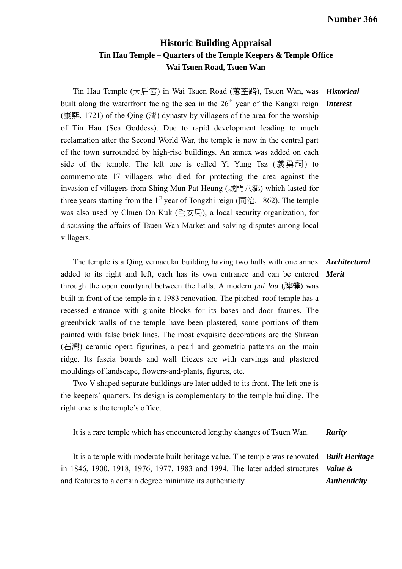## **Historic Building Appraisal Tin Hau Temple – Quarters of the Temple Keepers & Temple Office Wai Tsuen Road, Tsuen Wan**

Tin Hau Temple (天后宮) in Wai Tsuen Road (蕙荃路), Tsuen Wan, was *Historical*  built along the waterfront facing the sea in the 26<sup>th</sup> year of the Kangxi reign **Interest** (康熙, 1721) of the Oing (清) dynasty by villagers of the area for the worship of Tin Hau (Sea Goddess). Due to rapid development leading to much reclamation after the Second World War, the temple is now in the central part of the town surrounded by high-rise buildings. An annex was added on each side of the temple. The left one is called Yi Yung Tsz  $(\tilde{\mathbb{R}}\bar{\mathbb{R}}\bar{\mathbb{m}})$  to commemorate 17 villagers who died for protecting the area against the invasion of villagers from Shing Mun Pat Heung (城門八鄉) which lasted for three years starting from the 1<sup>st</sup> year of Tongzhi reign (同治, 1862). The temple was also used by Chuen On Kuk (全安局), a local security organization, for discussing the affairs of Tsuen Wan Market and solving disputes among local villagers.

 The temple is a Qing vernacular building having two halls with one annex *Architectural*  added to its right and left, each has its own entrance and can be entered *Merit*  through the open courtyard between the halls. A modern *pai lou* (牌樓) was built in front of the temple in a 1983 renovation. The pitched–roof temple has a recessed entrance with granite blocks for its bases and door frames. The greenbrick walls of the temple have been plastered, some portions of them painted with false brick lines. The most exquisite decorations are the Shiwan (石灣) ceramic opera figurines, a pearl and geometric patterns on the main ridge. Its fascia boards and wall friezes are with carvings and plastered mouldings of landscape, flowers-and-plants, figures, etc.

 Two V-shaped separate buildings are later added to its front. The left one is the keepers' quarters. Its design is complementary to the temple building. The right one is the temple's office.

It is a rare temple which has encountered lengthy changes of Tsuen Wan. *Rarity* 

 It is a temple with moderate built heritage value. The temple was renovated *Built Heritage*  in 1846, 1900, 1918, 1976, 1977, 1983 and 1994. The later added structures and features to a certain degree minimize its authenticity. *Value & Authenticity*